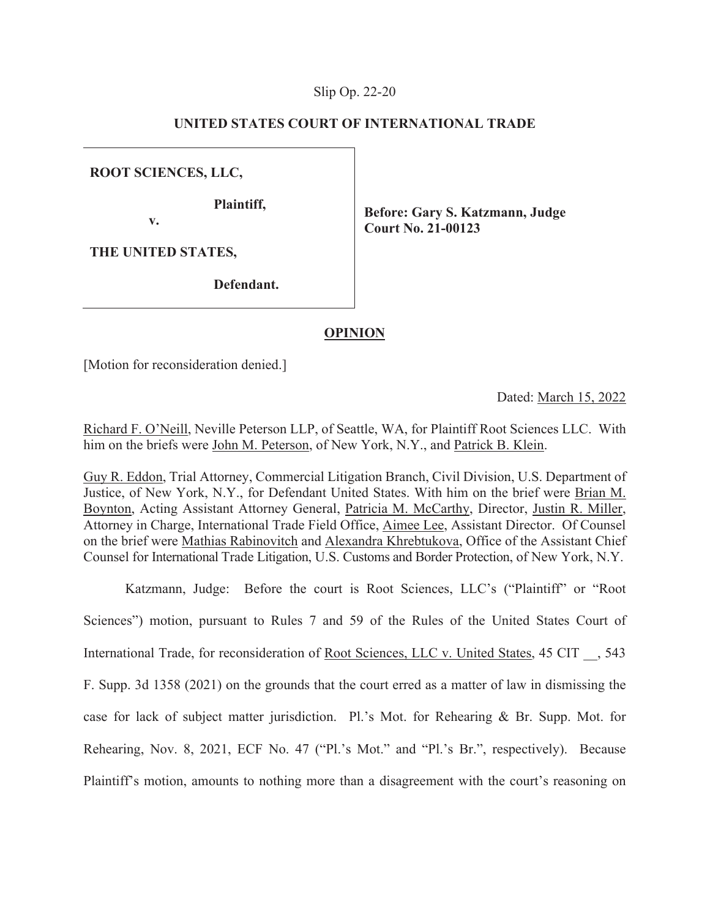## Slip Op. 22-20

## **UNITED STATES COURT OF INTERNATIONAL TRADE**

**ROOT SCIENCES, LLC,** 

**Plaintiff,** 

 **v.** 

 **Before: Gary S. Katzmann, Judge Court No. 21-00123** 

**THE UNITED STATES,** 

**Defendant.** 

## **OPINION**

[Motion for reconsideration denied.]

Dated: March 15, 2022

Richard F. O'Neill, Neville Peterson LLP, of Seattle, WA, for Plaintiff Root Sciences LLC. With him on the briefs were John M. Peterson, of New York, N.Y., and Patrick B. Klein.

Guy R. Eddon, Trial Attorney, Commercial Litigation Branch, Civil Division, U.S. Department of Justice, of New York, N.Y., for Defendant United States. With him on the brief were Brian M. Boynton, Acting Assistant Attorney General, Patricia M. McCarthy, Director, Justin R. Miller, Attorney in Charge, International Trade Field Office, Aimee Lee, Assistant Director. Of Counsel on the brief were Mathias Rabinovitch and Alexandra Khrebtukova, Office of the Assistant Chief Counsel for International Trade Litigation, U.S. Customs and Border Protection, of New York, N.Y.

Katzmann, Judge: Before the court is Root Sciences, LLC's ("Plaintiff" or "Root Sciences") motion, pursuant to Rules 7 and 59 of the Rules of the United States Court of International Trade, for reconsideration of Root Sciences, LLC v. United States, 45 CIT \_\_, 543 F. Supp. 3d 1358 (2021) on the grounds that the court erred as a matter of law in dismissing the case for lack of subject matter jurisdiction. Pl.'s Mot. for Rehearing & Br. Supp. Mot. for Rehearing, Nov. 8, 2021, ECF No. 47 ("Pl.'s Mot." and "Pl.'s Br.", respectively). Because Plaintiff's motion, amounts to nothing more than a disagreement with the court's reasoning on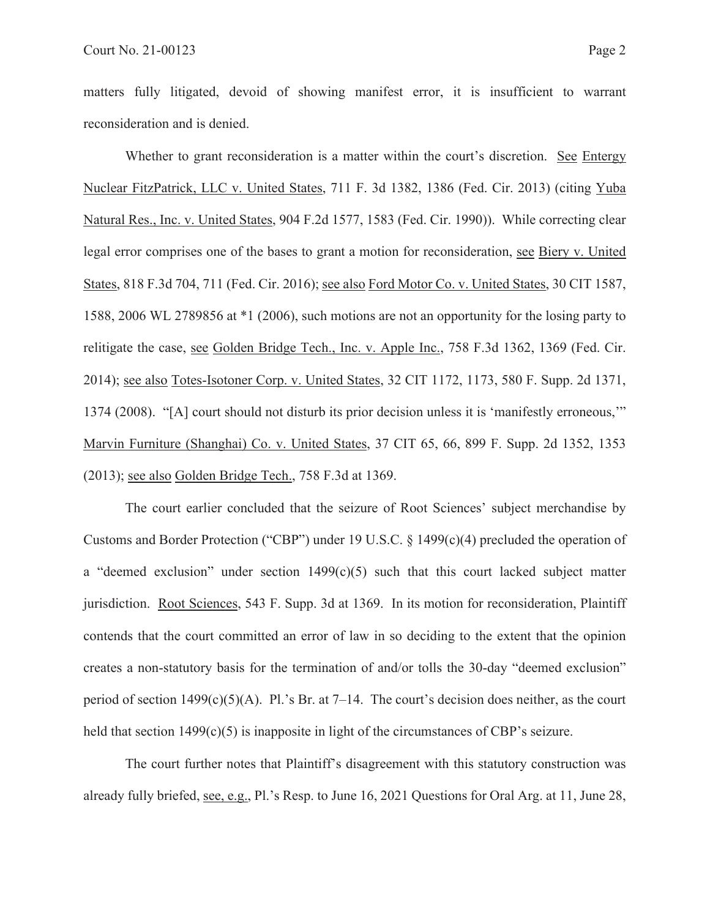matters fully litigated, devoid of showing manifest error, it is insufficient to warrant reconsideration and is denied.

Whether to grant reconsideration is a matter within the court's discretion. See Entergy Nuclear FitzPatrick, LLC v. United States, 711 F. 3d 1382, 1386 (Fed. Cir. 2013) (citing Yuba Natural Res., Inc. v. United States, 904 F.2d 1577, 1583 (Fed. Cir. 1990)). While correcting clear legal error comprises one of the bases to grant a motion for reconsideration, see Biery v. United States, 818 F.3d 704, 711 (Fed. Cir. 2016); see also Ford Motor Co. v. United States, 30 CIT 1587, 1588, 2006 WL 2789856 at \*1 (2006), such motions are not an opportunity for the losing party to relitigate the case, see Golden Bridge Tech., Inc. v. Apple Inc., 758 F.3d 1362, 1369 (Fed. Cir. 2014); see also Totes-Isotoner Corp. v. United States, 32 CIT 1172, 1173, 580 F. Supp. 2d 1371, 1374 (2008). "[A] court should not disturb its prior decision unless it is 'manifestly erroneous,'" Marvin Furniture (Shanghai) Co. v. United States, 37 CIT 65, 66, 899 F. Supp. 2d 1352, 1353 (2013); see also Golden Bridge Tech., 758 F.3d at 1369.

The court earlier concluded that the seizure of Root Sciences' subject merchandise by Customs and Border Protection ("CBP") under 19 U.S.C. § 1499(c)(4) precluded the operation of a "deemed exclusion" under section  $1499(c)(5)$  such that this court lacked subject matter jurisdiction. Root Sciences, 543 F. Supp. 3d at 1369. In its motion for reconsideration, Plaintiff contends that the court committed an error of law in so deciding to the extent that the opinion creates a non-statutory basis for the termination of and/or tolls the 30-day "deemed exclusion" period of section  $1499(c)(5)(A)$ . Pl.'s Br. at 7–14. The court's decision does neither, as the court held that section 1499(c)(5) is inapposite in light of the circumstances of CBP's seizure.

The court further notes that Plaintiff's disagreement with this statutory construction was already fully briefed, see, e.g., Pl.'s Resp. to June 16, 2021 Questions for Oral Arg. at 11, June 28,